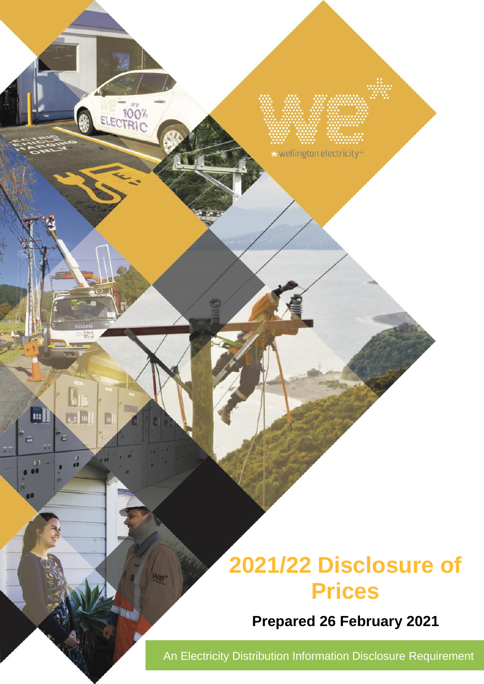# **2021/22 Disclosure of Prices**

**Prepared 26 February 2021**

An Electricity Distribution Information Disclosure Requirement

\* wellington electricity\*

ELECTRIC

 $\blacksquare$ 

pir.

 $\frac{D}{\sqrt{2}}$ 

 $\blacksquare$ 

E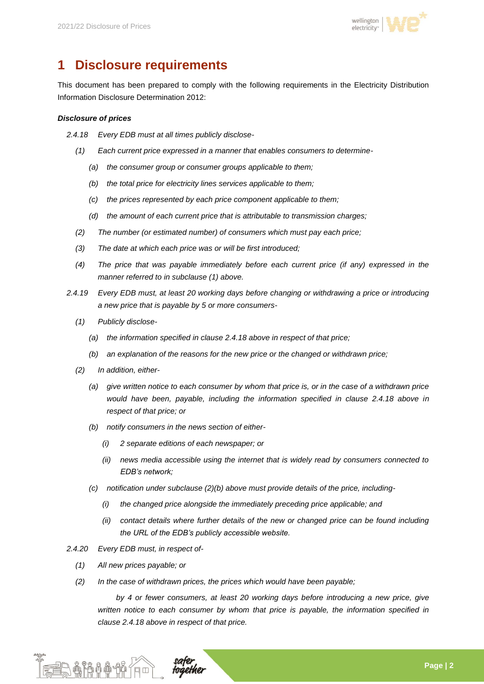

# **1 Disclosure requirements**

This document has been prepared to comply with the following requirements in the Electricity Distribution Information Disclosure Determination 2012:

#### *Disclosure of prices*

- *2.4.18 Every EDB must at all times publicly disclose-*
	- *(1) Each current price expressed in a manner that enables consumers to determine-*
		- *(a) the consumer group or consumer groups applicable to them;*
		- *(b) the total price for electricity lines services applicable to them;*
		- *(c) the prices represented by each price component applicable to them;*
		- *(d) the amount of each current price that is attributable to transmission charges;*
	- *(2) The number (or estimated number) of consumers which must pay each price;*
	- *(3) The date at which each price was or will be first introduced;*
	- *(4) The price that was payable immediately before each current price (if any) expressed in the manner referred to in subclause (1) above.*
- *2.4.19 Every EDB must, at least 20 working days before changing or withdrawing a price or introducing a new price that is payable by 5 or more consumers-*
	- *(1) Publicly disclose-*
		- *(a) the information specified in clause 2.4.18 above in respect of that price;*
		- *(b) an explanation of the reasons for the new price or the changed or withdrawn price;*
	- *(2) In addition, either-*
		- *(a) give written notice to each consumer by whom that price is, or in the case of a withdrawn price would have been, payable, including the information specified in clause 2.4.18 above in respect of that price; or*
		- *(b) notify consumers in the news section of either-*
			- *(i) 2 separate editions of each newspaper; or*
			- *(ii) news media accessible using the internet that is widely read by consumers connected to EDB's network;*
		- *(c) notification under subclause (2)(b) above must provide details of the price, including-*
			- *(i) the changed price alongside the immediately preceding price applicable; and*
			- *(ii) contact details where further details of the new or changed price can be found including the URL of the EDB's publicly accessible website.*
- *2.4.20 Every EDB must, in respect of-*
	- *(1) All new prices payable; or*
	- *(2) In the case of withdrawn prices, the prices which would have been payable;*

*by 4 or fewer consumers, at least 20 working days before introducing a new price, give written notice to each consumer by whom that price is payable, the information specified in clause 2.4.18 above in respect of that price.* 

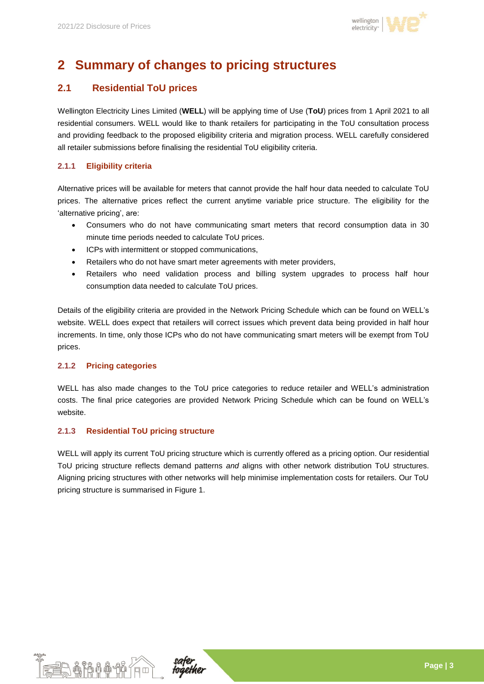

# **2 Summary of changes to pricing structures**

### **2.1 Residential ToU prices**

Wellington Electricity Lines Limited (**WELL**) will be applying time of Use (**ToU**) prices from 1 April 2021 to all residential consumers. WELL would like to thank retailers for participating in the ToU consultation process and providing feedback to the proposed eligibility criteria and migration process. WELL carefully considered all retailer submissions before finalising the residential ToU eligibility criteria.

#### **2.1.1 Eligibility criteria**

Alternative prices will be available for meters that cannot provide the half hour data needed to calculate ToU prices. The alternative prices reflect the current anytime variable price structure. The eligibility for the 'alternative pricing', are:

- Consumers who do not have communicating smart meters that record consumption data in 30 minute time periods needed to calculate ToU prices.
- ICPs with intermittent or stopped communications,
- Retailers who do not have smart meter agreements with meter providers,
- Retailers who need validation process and billing system upgrades to process half hour consumption data needed to calculate ToU prices.

Details of the eligibility criteria are provided in the Network Pricing Schedule which can be found on WELL's website. WELL does expect that retailers will correct issues which prevent data being provided in half hour increments. In time, only those ICPs who do not have communicating smart meters will be exempt from ToU prices.

#### **2.1.2 Pricing categories**

WELL has also made changes to the ToU price categories to reduce retailer and WELL's administration costs. The final price categories are provided Network Pricing Schedule which can be found on WELL's website.

#### **2.1.3 Residential ToU pricing structure**

WELL will apply its current ToU pricing structure which is currently offered as a pricing option. Our residential ToU pricing structure reflects demand patterns *and* aligns with other network distribution ToU structures. Aligning pricing structures with other networks will help minimise implementation costs for retailers. Our ToU pricing structure is summarised in [Figure 1.](#page-3-0)



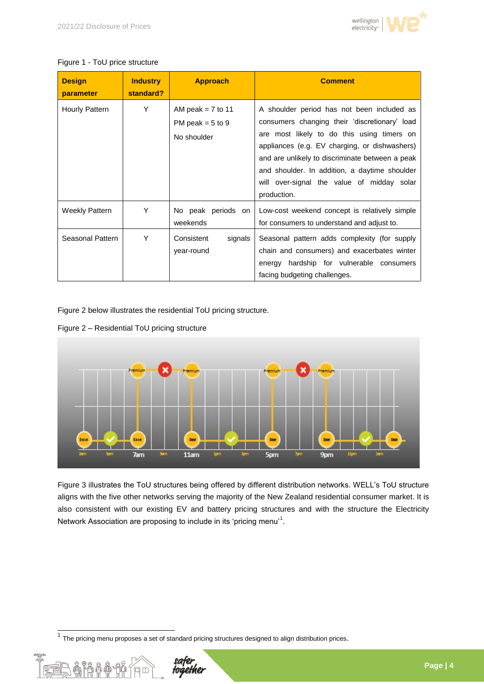

#### <span id="page-3-0"></span>Figure 1 - ToU price structure

| <b>Design</b><br>parameter | <b>Industry</b><br>standard? | <b>Approach</b>                                          | <b>Comment</b>                                                                                                                                                                                                                                                                                                                                              |
|----------------------------|------------------------------|----------------------------------------------------------|-------------------------------------------------------------------------------------------------------------------------------------------------------------------------------------------------------------------------------------------------------------------------------------------------------------------------------------------------------------|
| Hourly Pattern             | Y                            | AM peak = $7$ to 11<br>PM peak = $5$ to 9<br>No shoulder | A shoulder period has not been included as<br>consumers changing their 'discretionary' load<br>are most likely to do this using timers on<br>appliances (e.g. EV charging, or dishwashers)<br>and are unlikely to discriminate between a peak<br>and shoulder. In addition, a daytime shoulder<br>will over-signal the value of midday solar<br>production. |
| <b>Weekly Pattern</b>      | Y                            | No peak periods on<br>weekends                           | Low-cost weekend concept is relatively simple<br>for consumers to understand and adjust to.                                                                                                                                                                                                                                                                 |
| Seasonal Pattern           | Y                            | Consistent<br>signals<br>year-round                      | Seasonal pattern adds complexity (for supply<br>chain and consumers) and exacerbates winter<br>hardship for vulnerable consumers<br>energy<br>facing budgeting challenges.                                                                                                                                                                                  |

[Figure 2](#page-3-1) below illustrates the residential ToU pricing structure.

<span id="page-3-1"></span>Figure 2 – Residential ToU pricing structure



[Figure 3](#page-4-0) illustrates the ToU structures being offered by different distribution networks. WELL's ToU structure aligns with the five other networks serving the majority of the New Zealand residential consumer market. It is also consistent with our existing EV and battery pricing structures and with the structure the Electricity Network Association are proposing to include in its 'pricing menu'<sup>1</sup>.

 1 The pricing menu proposes a set of standard pricing structures designed to align distribution prices.

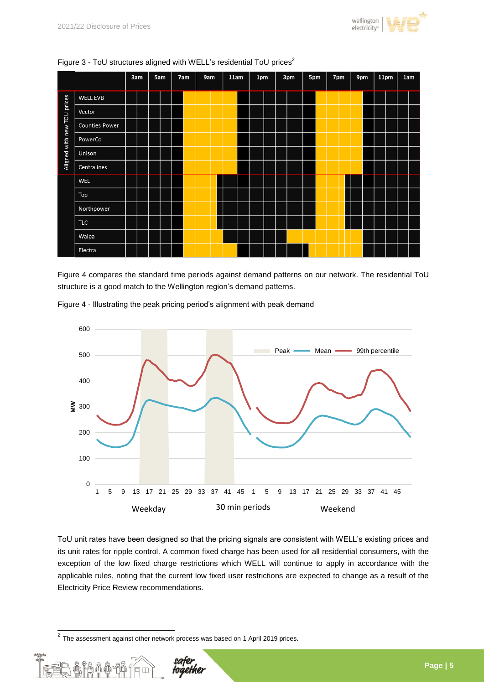



#### <span id="page-4-0"></span>Figure 3 - ToU structures aligned with WELL's residential ToU prices<sup>2</sup>

[Figure 4](#page-4-1) compares the standard time periods against demand patterns on our network. The residential ToU structure is a good match to the Wellington region's demand patterns.



<span id="page-4-1"></span>Figure 4 - Illustrating the peak pricing period's alignment with peak demand

ToU unit rates have been designed so that the pricing signals are consistent with WELL's existing prices and its unit rates for ripple control. A common fixed charge has been used for all residential consumers, with the exception of the low fixed charge restrictions which WELL will continue to apply in accordance with the applicable rules, noting that the current low fixed user restrictions are expected to change as a result of the Electricity Price Review recommendations.

 2 The assessment against other network process was based on 1 April 2019 prices.

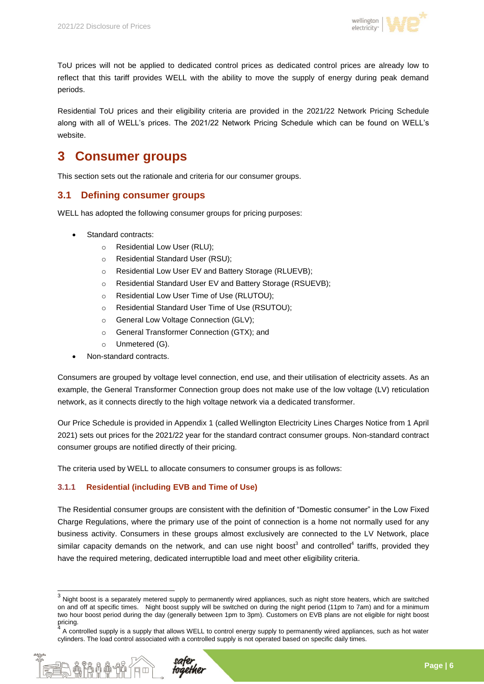

ToU prices will not be applied to dedicated control prices as dedicated control prices are already low to reflect that this tariff provides WELL with the ability to move the supply of energy during peak demand periods.

Residential ToU prices and their eligibility criteria are provided in the 2021/22 Network Pricing Schedule along with all of WELL's prices. The 2021/22 Network Pricing Schedule which can be found on WELL's website.

## **3 Consumer groups**

This section sets out the rationale and criteria for our consumer groups.

#### **3.1 Defining consumer groups**

WELL has adopted the following consumer groups for pricing purposes:

- Standard contracts:
	- o Residential Low User (RLU);
	- o Residential Standard User (RSU);
	- o Residential Low User EV and Battery Storage (RLUEVB);
	- o Residential Standard User EV and Battery Storage (RSUEVB);
	- o Residential Low User Time of Use (RLUTOU);
	- o Residential Standard User Time of Use (RSUTOU);
	- o General Low Voltage Connection (GLV);
	- o General Transformer Connection (GTX); and
	- o Unmetered (G).
- Non-standard contracts.

Consumers are grouped by voltage level connection, end use, and their utilisation of electricity assets. As an example, the General Transformer Connection group does not make use of the low voltage (LV) reticulation network, as it connects directly to the high voltage network via a dedicated transformer.

Our Price Schedule is provided in Appendix 1 (called Wellington Electricity Lines Charges Notice from 1 April 2021) sets out prices for the 2021/22 year for the standard contract consumer groups. Non-standard contract consumer groups are notified directly of their pricing.

The criteria used by WELL to allocate consumers to consumer groups is as follows:

#### **3.1.1 Residential (including EVB and Time of Use)**

The Residential consumer groups are consistent with the definition of "Domestic consumer" in the Low Fixed Charge Regulations, where the primary use of the point of connection is a home not normally used for any business activity. Consumers in these groups almost exclusively are connected to the LV Network, place similar capacity demands on the network, and can use night boost<sup>3</sup> and controlled<sup>4</sup> tariffs, provided they have the required metering, dedicated interruptible load and meet other eligibility criteria.

 $4\overline{4}$  A controlled supply is a supply that allows WELL to control energy supply to permanently wired appliances, such as hot water cylinders. The load control associated with a controlled supply is not operated based on specific daily times.



 3 Night boost is a separately metered supply to permanently wired appliances, such as night store heaters, which are switched on and off at specific times. Night boost supply will be switched on during the night period (11pm to 7am) and for a minimum two hour boost period during the day (generally between 1pm to 3pm). Customers on EVB plans are not eligible for night boost pricing.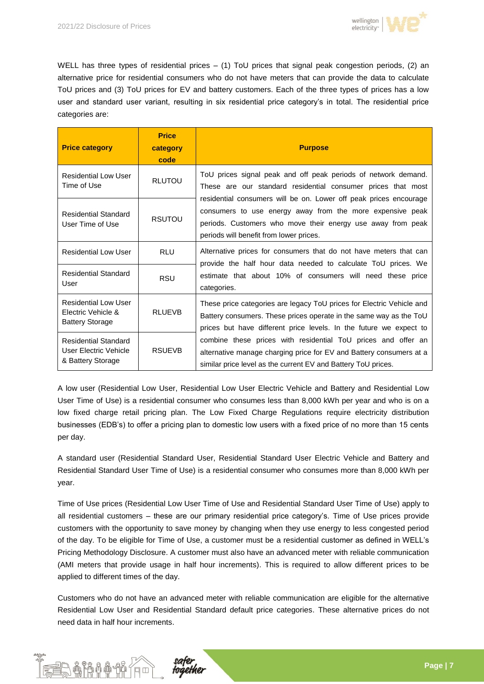

WELL has three types of residential prices – (1) ToU prices that signal peak congestion periods, (2) an alternative price for residential consumers who do not have meters that can provide the data to calculate ToU prices and (3) ToU prices for EV and battery customers. Each of the three types of prices has a low user and standard user variant, resulting in six residential price category's in total. The residential price categories are:

| <b>Price category</b>                                                       | <b>Price</b><br>category<br>code | <b>Purpose</b>                                                                                                                                                                                                                           |  |  |  |
|-----------------------------------------------------------------------------|----------------------------------|------------------------------------------------------------------------------------------------------------------------------------------------------------------------------------------------------------------------------------------|--|--|--|
| Residential Low User<br>Time of Use                                         | <b>RLUTOU</b>                    | ToU prices signal peak and off peak periods of network demand.<br>These are our standard residential consumer prices that most                                                                                                           |  |  |  |
| <b>Residential Standard</b><br>User Time of Use                             | <b>RSUTOU</b>                    | residential consumers will be on. Lower off peak prices encourage<br>consumers to use energy away from the more expensive peak<br>periods. Customers who move their energy use away from peak<br>periods will benefit from lower prices. |  |  |  |
| <b>Residential Low User</b>                                                 | RLU                              | Alternative prices for consumers that do not have meters that can                                                                                                                                                                        |  |  |  |
| <b>Residential Standard</b><br>User                                         | <b>RSU</b>                       | provide the half hour data needed to calculate ToU prices. We<br>estimate that about 10% of consumers will need these price<br>categories.                                                                                               |  |  |  |
| <b>Residential Low User</b><br>Electric Vehicle &<br><b>Battery Storage</b> | <b>RLUEVB</b>                    | These price categories are legacy ToU prices for Electric Vehicle and<br>Battery consumers. These prices operate in the same way as the ToU<br>prices but have different price levels. In the future we expect to                        |  |  |  |
| <b>Residential Standard</b><br>User Electric Vehicle<br>& Battery Storage   | <b>RSUEVB</b>                    | combine these prices with residential ToU prices and offer an<br>alternative manage charging price for EV and Battery consumers at a<br>similar price level as the current EV and Battery ToU prices.                                    |  |  |  |

A low user (Residential Low User, Residential Low User Electric Vehicle and Battery and Residential Low User Time of Use) is a residential consumer who consumes less than 8,000 kWh per year and who is on a low fixed charge retail pricing plan. The Low Fixed Charge Regulations require electricity distribution businesses (EDB's) to offer a pricing plan to domestic low users with a fixed price of no more than 15 cents per day.

A standard user (Residential Standard User, Residential Standard User Electric Vehicle and Battery and Residential Standard User Time of Use) is a residential consumer who consumes more than 8,000 kWh per year.

Time of Use prices (Residential Low User Time of Use and Residential Standard User Time of Use) apply to all residential customers – these are our primary residential price category's. Time of Use prices provide customers with the opportunity to save money by changing when they use energy to less congested period of the day. To be eligible for Time of Use, a customer must be a residential customer as defined in WELL's Pricing Methodology Disclosure. A customer must also have an advanced meter with reliable communication (AMI meters that provide usage in half hour increments). This is required to allow different prices to be applied to different times of the day.

Customers who do not have an advanced meter with reliable communication are eligible for the alternative Residential Low User and Residential Standard default price categories. These alternative prices do not need data in half hour increments.

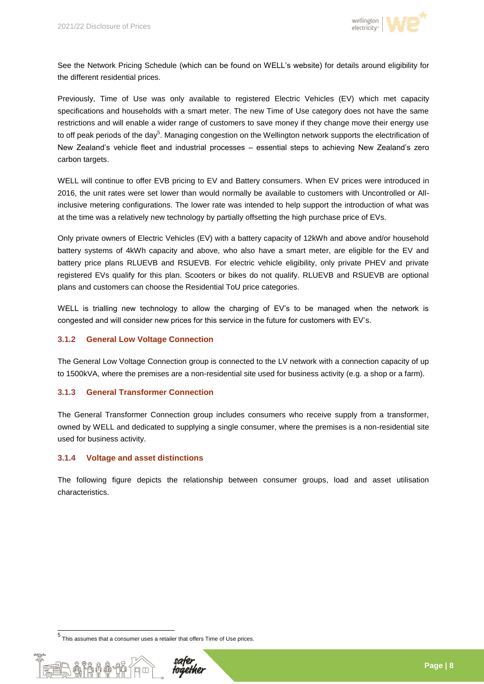

See the Network Pricing Schedule (which can be found on WELL's website) for details around eligibility for the different residential prices.

Previously, Time of Use was only available to registered Electric Vehicles (EV) which met capacity specifications and households with a smart meter. The new Time of Use category does not have the same restrictions and will enable a wider range of customers to save money if they change move their energy use to off peak periods of the day<sup>5</sup>. Managing congestion on the Wellington network supports the electrification of New Zealand's vehicle fleet and industrial processes – essential steps to achieving New Zealand's zero carbon targets.

WELL will continue to offer EVB pricing to EV and Battery consumers. When EV prices were introduced in 2016, the unit rates were set lower than would normally be available to customers with Uncontrolled or Allinclusive metering configurations. The lower rate was intended to help support the introduction of what was at the time was a relatively new technology by partially offsetting the high purchase price of EVs.

Only private owners of Electric Vehicles (EV) with a battery capacity of 12kWh and above and/or household battery systems of 4kWh capacity and above, who also have a smart meter, are eligible for the EV and battery price plans RLUEVB and RSUEVB. For electric vehicle eligibility, only private PHEV and private registered EVs qualify for this plan. Scooters or bikes do not qualify. RLUEVB and RSUEVB are optional plans and customers can choose the Residential ToU price categories.

WELL is trialling new technology to allow the charging of EV's to be managed when the network is congested and will consider new prices for this service in the future for customers with EV's.

#### **3.1.2 General Low Voltage Connection**

The General Low Voltage Connection group is connected to the LV network with a connection capacity of up to 1500kVA, where the premises are a non-residential site used for business activity (e.g. a shop or a farm).

#### **3.1.3 General Transformer Connection**

The General Transformer Connection group includes consumers who receive supply from a transformer, owned by WELL and dedicated to supplying a single consumer, where the premises is a non-residential site used for business activity.

#### **3.1.4 Voltage and asset distinctions**

The following figure depicts the relationship between consumer groups, load and asset utilisation characteristics.

 5 This assumes that a consumer uses a retailer that offers Time of Use prices.

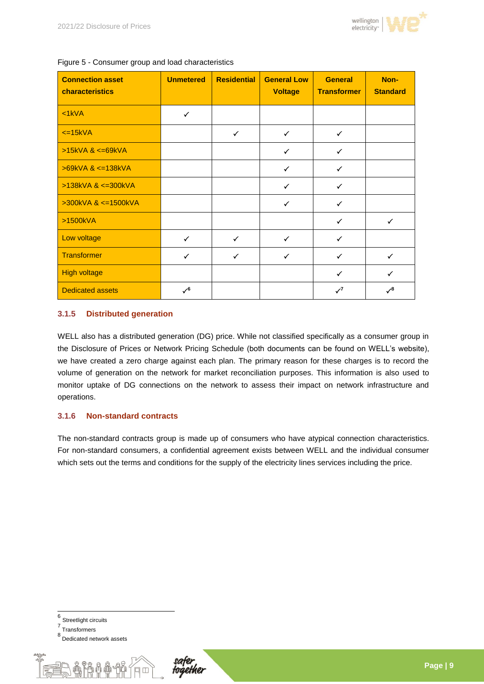

| <b>Connection asset</b><br>characteristics | <b>Unmetered</b> | <b>Residential</b> | <b>General Low</b><br><b>Voltage</b> | <b>General</b><br><b>Transformer</b> | Non-<br><b>Standard</b> |
|--------------------------------------------|------------------|--------------------|--------------------------------------|--------------------------------------|-------------------------|
| $<1$ kVA                                   | $\checkmark$     |                    |                                      |                                      |                         |
| $\leq$ 15kVA                               |                  | $\checkmark$       | $\checkmark$                         | $\checkmark$                         |                         |
| $>15kVA$ & $\leq$ =69kVA                   |                  |                    | $\checkmark$                         | $\checkmark$                         |                         |
| $>69kVA$ & $\leq$ 138kVA                   |                  |                    | $\checkmark$                         | $\checkmark$                         |                         |
| $>138kVA$ & $\leq 300kVA$                  |                  |                    | $\checkmark$                         | $\checkmark$                         |                         |
| >300kVA & <= 1500kVA                       |                  |                    | ✓                                    | ✓                                    |                         |
| >1500kVA                                   |                  |                    |                                      | ✓                                    |                         |
| Low voltage                                | $\checkmark$     | $\checkmark$       | ✓                                    | $\checkmark$                         |                         |
| <b>Transformer</b>                         | $\checkmark$     | ✓                  | ✓                                    | $\checkmark$                         | ✓                       |
| <b>High voltage</b>                        |                  |                    |                                      | $\checkmark$                         | $\checkmark$            |
| <b>Dedicated assets</b>                    | ✓                |                    |                                      | $\mathcal{I}^7$                      | .⁄8                     |

Figure 5 - Consumer group and load characteristics

#### **3.1.5 Distributed generation**

WELL also has a distributed generation (DG) price. While not classified specifically as a consumer group in the Disclosure of Prices or Network Pricing Schedule (both documents can be found on WELL's website), we have created a zero charge against each plan. The primary reason for these charges is to record the volume of generation on the network for market reconciliation purposes. This information is also used to monitor uptake of DG connections on the network to assess their impact on network infrastructure and operations.

#### **3.1.6 Non-standard contracts**

The non-standard contracts group is made up of consumers who have atypical connection characteristics. For non-standard consumers, a confidential agreement exists between WELL and the individual consumer which sets out the terms and conditions for the supply of the electricity lines services including the price.

<sup>8&</sup>lt;br>Dedicated network assets



 6 Streetlight circuits 7 Transformers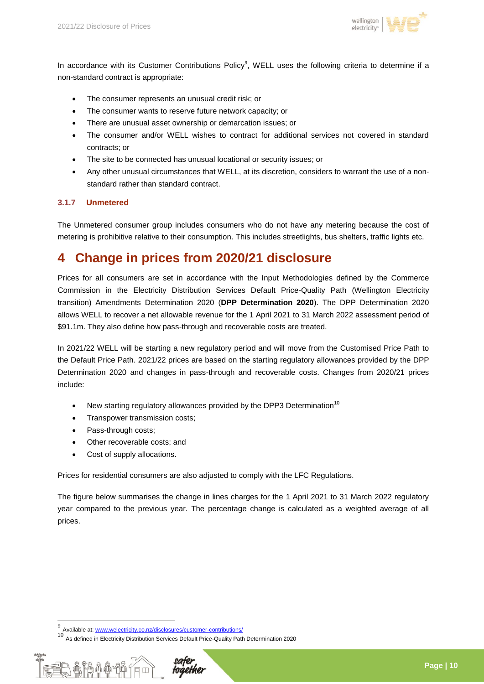

In accordance with its Customer Contributions Policy<sup>9</sup>, WELL uses the following criteria to determine if a non-standard contract is appropriate:

- The consumer represents an unusual credit risk; or
- The consumer wants to reserve future network capacity; or
- There are unusual asset ownership or demarcation issues; or
- The consumer and/or WELL wishes to contract for additional services not covered in standard contracts; or
- The site to be connected has unusual locational or security issues; or
- Any other unusual circumstances that WELL, at its discretion, considers to warrant the use of a nonstandard rather than standard contract.

#### **3.1.7 Unmetered**

The Unmetered consumer group includes consumers who do not have any metering because the cost of metering is prohibitive relative to their consumption. This includes streetlights, bus shelters, traffic lights etc.

### **4 Change in prices from 2020/21 disclosure**

Prices for all consumers are set in accordance with the Input Methodologies defined by the Commerce Commission in the Electricity Distribution Services Default Price-Quality Path (Wellington Electricity transition) Amendments Determination 2020 (**DPP Determination 2020**). The DPP Determination 2020 allows WELL to recover a net allowable revenue for the 1 April 2021 to 31 March 2022 assessment period of \$91.1m. They also define how pass-through and recoverable costs are treated.

In 2021/22 WELL will be starting a new regulatory period and will move from the Customised Price Path to the Default Price Path. 2021/22 prices are based on the starting regulatory allowances provided by the DPP Determination 2020 and changes in pass-through and recoverable costs. Changes from 2020/21 prices include:

- New starting regulatory allowances provided by the DPP3 Determination<sup>10</sup>
- Transpower transmission costs;
- Pass-through costs;
- Other recoverable costs; and
- Cost of supply allocations.

Prices for residential consumers are also adjusted to comply with the LFC Regulations.

The figure below summarises the change in lines charges for the 1 April 2021 to 31 March 2022 regulatory year compared to the previous year. The percentage change is calculated as a weighted average of all prices.

<sup>10&</sup>lt;br>10 As defined in Electricity Distribution Services Default Price-Quality Path Determination 2020



 9 Available at[: www.welectricity.co.nz/disclosures/customer-contributions/](http://www.welectricity.co.nz/disclosures/customer-contributions/)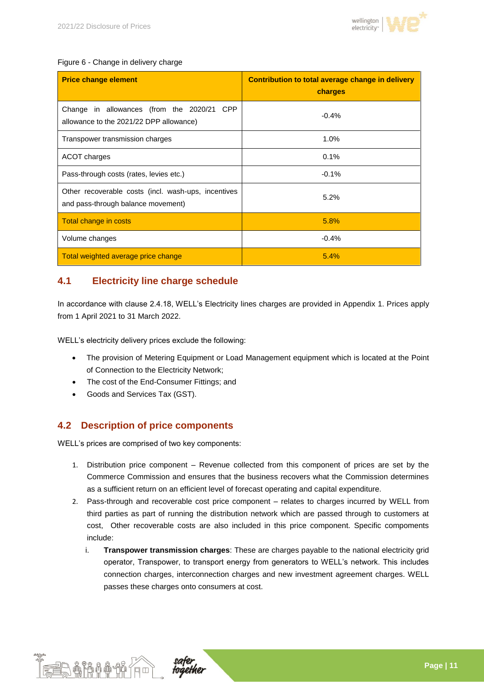

#### Figure 6 - Change in delivery charge

| <b>Price change element</b>                                                               | Contribution to total average change in delivery<br>charges |  |  |
|-------------------------------------------------------------------------------------------|-------------------------------------------------------------|--|--|
| Change in allowances (from the 2020/21 CPP<br>allowance to the 2021/22 DPP allowance)     | $-0.4%$                                                     |  |  |
| Transpower transmission charges                                                           | 1.0%                                                        |  |  |
| ACOT charges                                                                              | 0.1%                                                        |  |  |
| Pass-through costs (rates, levies etc.)                                                   | $-0.1%$                                                     |  |  |
| Other recoverable costs (incl. wash-ups, incentives<br>and pass-through balance movement) | 5.2%                                                        |  |  |
| Total change in costs                                                                     | 5.8%                                                        |  |  |
| Volume changes                                                                            | $-0.4%$                                                     |  |  |
| Total weighted average price change                                                       | 5.4%                                                        |  |  |

#### **4.1 Electricity line charge schedule**

In accordance with clause 2.4.18, WELL's Electricity lines charges are provided in Appendix 1. Prices apply from 1 April 2021 to 31 March 2022.

WELL's electricity delivery prices exclude the following:

- The provision of Metering Equipment or Load Management equipment which is located at the Point of Connection to the Electricity Network;
- The cost of the End-Consumer Fittings; and
- Goods and Services Tax (GST).

#### **4.2 Description of price components**

WELL's prices are comprised of two key components:

- 1. Distribution price component Revenue collected from this component of prices are set by the Commerce Commission and ensures that the business recovers what the Commission determines as a sufficient return on an efficient level of forecast operating and capital expenditure.
- 2. Pass-through and recoverable cost price component relates to charges incurred by WELL from third parties as part of running the distribution network which are passed through to customers at cost, Other recoverable costs are also included in this price component. Specific compoments include:
	- i. **Transpower transmission charges**: These are charges payable to the national electricity grid operator, Transpower, to transport energy from generators to WELL's network. This includes connection charges, interconnection charges and new investment agreement charges. WELL passes these charges onto consumers at cost.



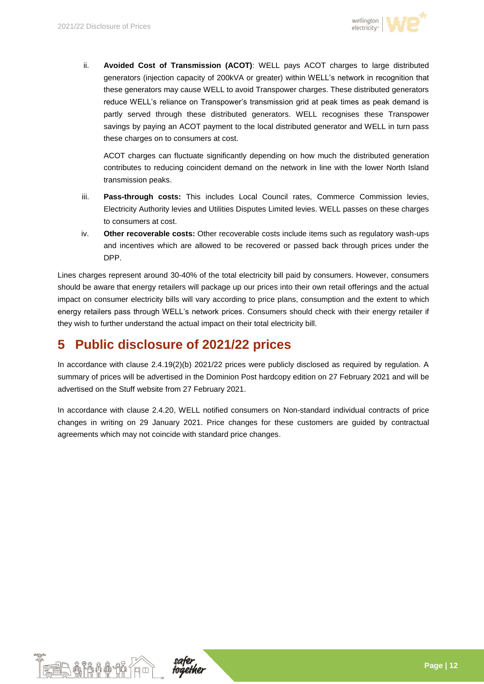

ii. **Avoided Cost of Transmission (ACOT)**: WELL pays ACOT charges to large distributed generators (injection capacity of 200kVA or greater) within WELL's network in recognition that these generators may cause WELL to avoid Transpower charges. These distributed generators reduce WELL's reliance on Transpower's transmission grid at peak times as peak demand is partly served through these distributed generators. WELL recognises these Transpower savings by paying an ACOT payment to the local distributed generator and WELL in turn pass these charges on to consumers at cost.

ACOT charges can fluctuate significantly depending on how much the distributed generation contributes to reducing coincident demand on the network in line with the lower North Island transmission peaks.

- iii. **Pass-through costs:** This includes Local Council rates, Commerce Commission levies, Electricity Authority levies and Utilities Disputes Limited levies. WELL passes on these charges to consumers at cost.
- iv. **Other recoverable costs:** Other recoverable costs include items such as regulatory wash-ups and incentives which are allowed to be recovered or passed back through prices under the DPP.

Lines charges represent around 30-40% of the total electricity bill paid by consumers. However, consumers should be aware that energy retailers will package up our prices into their own retail offerings and the actual impact on consumer electricity bills will vary according to price plans, consumption and the extent to which energy retailers pass through WELL's network prices. Consumers should check with their energy retailer if they wish to further understand the actual impact on their total electricity bill.

# **5 Public disclosure of 2021/22 prices**

In accordance with clause 2.4.19(2)(b) 2021/22 prices were publicly disclosed as required by regulation. A summary of prices will be advertised in the Dominion Post hardcopy edition on 27 February 2021 and will be advertised on the Stuff website from 27 February 2021.

In accordance with clause 2.4.20, WELL notified consumers on Non-standard individual contracts of price changes in writing on 29 January 2021. Price changes for these customers are guided by contractual agreements which may not coincide with standard price changes.



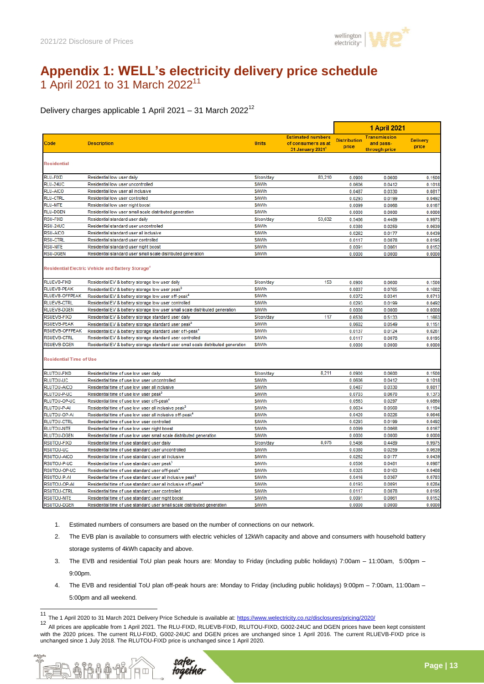

### **Appendix 1: WELL's electricity delivery price schedule** 1 April 2021 to 31 March 2022<sup>11</sup>

Delivery charges applicable 1 April 2021 – 31 March 2022<sup>12</sup>

|                                    |                                                                                   |              |                                                                                | <b>1 April 2021</b>          |                                                   |                          |
|------------------------------------|-----------------------------------------------------------------------------------|--------------|--------------------------------------------------------------------------------|------------------------------|---------------------------------------------------|--------------------------|
| Code                               | <b>Description</b>                                                                | <b>Units</b> | <b>Estimated numbers</b><br>of consumers as at<br>31 January 2021 <sup>1</sup> | <b>Distribution</b><br>price | <b>Transmission</b><br>and pass-<br>through price | <b>Delivery</b><br>price |
| <b>Residential</b>                 |                                                                                   |              |                                                                                |                              |                                                   |                          |
| <b>RLU-FIXD</b>                    | Residential low user daily                                                        | \$/con/day   | 83,210                                                                         | 0.0900                       | 0.0600                                            | 0.1500                   |
| <b>RLU-24UC</b>                    | Residential low user uncontrolled                                                 | S/kWh        |                                                                                | 0.0606                       | 0.0412                                            | 0.1018                   |
| RLU-AICO                           | Residential low user all inclusive                                                | S/kWh        |                                                                                | 0.0487                       | 0.0330                                            | 0.0817                   |
| <b>RLU-CTRL</b>                    | Residential low user controlled                                                   | S/kWh        |                                                                                | 0.0293                       | 0.0199                                            | 0.0492                   |
| <b>RLU-NITE</b>                    | Residential low user night boost                                                  | S/kWh        |                                                                                | 0.0099                       | 0.0068                                            | 0.0167                   |
| <b>RLU-DGEN</b>                    | Residential low user small scale distributed generation                           | S/kWh        |                                                                                | 0.0000                       | 0.0000                                            | 0.0000                   |
| <b>RSU-FIXD</b>                    | Residential standard user daily                                                   | \$/con/day   | 53,632                                                                         | 0.5486                       | 0.4489                                            | 0.9975                   |
| RSU-24UC                           | Residential standard user uncontrolled                                            | S/kWh        |                                                                                | 0.0380                       | 0.0259                                            | 0.0639                   |
| RSU-AICO                           | Residential standard user all inclusive                                           | \$/kWh       |                                                                                | 0.0262                       | 0.0177                                            | 0.0439                   |
| <b>RSU-CTRL</b>                    | Residential standard user controlled                                              | \$/kWh       |                                                                                | 0.0117                       | 0.0078                                            | 0.0195                   |
| <b>RSU-NITE</b>                    | Residential standard user night boost                                             | <b>S/kWh</b> |                                                                                | 0.0091                       | 0.0061                                            | 0.0152                   |
| <b>RSU-DGEN</b>                    | Residential standard user small scale distributed generation                      | S/kWh        |                                                                                | 0.0000                       | 0.0000                                            | 0.0000                   |
|                                    | Residential Electric Vehicle and Battery Storage <sup>2</sup>                     |              |                                                                                |                              |                                                   |                          |
| <b>RLUEVB-FIXD</b>                 | Residential EV & battery storage low user daily                                   | \$/con/day   | 153                                                                            | 0.0900                       | 0.0600                                            | 0.1500                   |
| <b>RLUEVB-PEAK</b>                 | Residential EV & battery storage low user peak <sup>3</sup>                       | \$/kWh       |                                                                                | 0.0837                       | 0.0765                                            | 0.1602                   |
| RLUEVB-OFFPEAK                     | Residential EV & battery storage low user off-peak <sup>4</sup>                   | <b>S/kWh</b> |                                                                                | 0.0372                       | 0.0341                                            | 0.0713                   |
| <b>RLUEVB-CTRL</b>                 | Residential EV & battery storage low user controlled                              | \$/kWh       |                                                                                | 0.0293                       | 0.0199                                            | 0.0492                   |
| <b>RLUEVB-DGEN</b>                 | Residential EV & battery storage low user small scale distributed generation      | S/kWh        |                                                                                | 0.0000                       | 0.0000                                            | 0.0000                   |
| <b>RSUEVB-FIXD</b>                 | Residential EV & battery storage standard user daily                              | \$/con/day   | 117                                                                            | 0.6530                       | 0.5133                                            | 1.1663                   |
| <b>RSUEVB-PEAK</b>                 | Residential EV & battery storage standard user peak <sup>3</sup>                  | <b>S/kWh</b> |                                                                                | 0.0602                       | 0.0549                                            | 0.1151                   |
| RSUEVB-OFFPEAK                     | Residential EV & battery storage standard user off-peak <sup>4</sup>              | S/kWh        |                                                                                | 0.0137                       | 0.0124                                            | 0.026 <sup>4</sup>       |
| <b>RSUEVB-CTRL</b>                 | Residential EV & battery storage standard user controlled                         | \$/kWh       |                                                                                | 0.0117                       | 0.0078                                            | 0.0195                   |
| <b>RSUEVB-DGEN</b>                 | Residential EV & battery storage standard user small scale distributed generation | S/kWh        |                                                                                | 0.0000                       | 0.0000                                            | 0.0000                   |
| <b>Residential Time of Use</b>     |                                                                                   |              |                                                                                |                              |                                                   |                          |
| <b>RLUTOU-FIXD</b>                 | Residential time of use low user daily                                            | \$/con/day   | 8,211                                                                          | 0.0900                       | 0.0600                                            | 0.1500                   |
| RLUTOU-UC                          | Residential time of use low user uncontrolled                                     | S/kWh        |                                                                                | 0.0606                       | 0.0412                                            | 0.1018                   |
| RLUTOU-AICO                        | Residential time of use low user all inclusive                                    | S/kWh        |                                                                                | 0.0487                       | 0.0330                                            | 0.0817                   |
| RLUTOU-P-UC                        | Residential time of use low user peak <sup>3</sup>                                | \$/kWh       |                                                                                | 0.0703                       | 0.0670                                            | 0.1373                   |
| RLUTOU-OP-UC                       | Residential time of use low user off-peak <sup>4</sup>                            | S/kWh        |                                                                                | 0.0563                       | 0.0297                                            | 0.0860                   |
| RLUTOU-P-AI                        | Residential time of use low user all inclusive peak <sup>3</sup>                  | S/kWh        |                                                                                | 0.0634                       | 0.0560                                            | 0.1194                   |
| RLUTOU-OP-AI                       | Residential time of use low user all inclusive off-peak <sup>4</sup>              | S/kWh        |                                                                                | 0.0420                       | 0.0226                                            | 0.0646                   |
| <b>RLUTOU-CTRL</b>                 | Residential time of use low user controlled                                       | S/kWh        |                                                                                | 0.0293                       | 0.0199                                            | 0.0492                   |
| <b>RLUTOU-NITE</b>                 | Residential time of use low user night boost                                      | S/kWh        |                                                                                | 0.0099                       | 0.0068                                            | 0.0167                   |
| <b>RLUTOU-DGEN</b>                 | Residential time of use low user small scale distributed generation               | S/kWh        |                                                                                | 0.0000                       | 0.0000                                            | 0.0000                   |
| <b>RSUTOU-FIXD</b>                 | Residential time of use standard user daily                                       | \$/con/day   | 8,075                                                                          | 0.5486                       | 0.4489                                            | 0.9975                   |
| RSUTOU-UC                          | Residential time of use standard user uncontrolled                                | \$/kWh       |                                                                                | 0.0380                       | 0.0259                                            | 0.0639                   |
| RSUTOU-AICO                        | Residential time of use standard user all inclusive                               | S/kWh        |                                                                                | 0.0262                       | 0.0177                                            | 0.0439                   |
| RSUTOU-P-UC                        | Residential time of use standard user peak <sup>3</sup>                           | S/kWh        |                                                                                | 0.0506                       | 0.0481                                            | 0.0987                   |
| RSUTOU-OP-UC                       | Residential time of use standard user off-peak <sup>4</sup>                       | \$/kWh       |                                                                                | 0.0325                       | 0.0163                                            | 0.0488                   |
| RSUTOU-P-AI                        | Residential time of use standard user all inclusive peak <sup>3</sup>             | S/kWh        |                                                                                | 0.0416                       | 0.0367                                            | 0.0783                   |
| RSUTOU-OP-AI<br><b>RSUTOU-CTRL</b> | Residential time of use standard user all inclusive off-peak <sup>4</sup>         | S/kWh        |                                                                                | 0.0193                       | 0.0091                                            | 0.0284                   |
|                                    | Residential time of use standard user controlled                                  | \$/kWh       |                                                                                | 0.0117                       | 0.0078                                            | 0.0195<br>0.0152         |
| <b>RSUTOU-NITE</b>                 | Residential time of use standard user night boost                                 | \$/kWh       |                                                                                | 0.0091                       | 0.0061                                            |                          |
| <b>RSUTOU-DGEN</b>                 | Residential time of use standard user small scale distributed generation          | <b>S/kWh</b> |                                                                                | 0.0000                       | 0.0000                                            | 0.0000                   |

- 1. Estimated numbers of consumers are based on the number of connections on our network.
- 2. The EVB plan is available to consumers with electric vehicles of 12kWh capacity and above and consumers with household battery storage systems of 4kWh capacity and above.
- 3. The EVB and residential ToU plan peak hours are: Monday to Friday (including public holidays) 7:00am 11:00am, 5:00pm 9:00pm.
- 4. The EVB and residential ToU plan off-peak hours are: Monday to Friday (including public holidays) 9:00pm 7:00am, 11:00am 5:00pm and all weekend.

 11 The 1 April 2020 to 31 March 2021 Delivery Price Schedule is available at:<https://www.welectricity.co.nz/disclosures/pricing/2020/> <sup>12</sup> All prices are applicable from 1 April 2021. The RLU-FIXD, RLUEVB-FIXD, RLUTOU-FIXD, G002-24UC and DGEN prices have been kept consistent with the 2020 prices. The current RLU-FIXD, G002-24UC and DGEN prices are unchanged since 1 April 2016. The current RLUEVB-FIXD price is unchanged since 1 July 2018. The RLUTOU-FIXD price is unchanged since 1 April 2020.